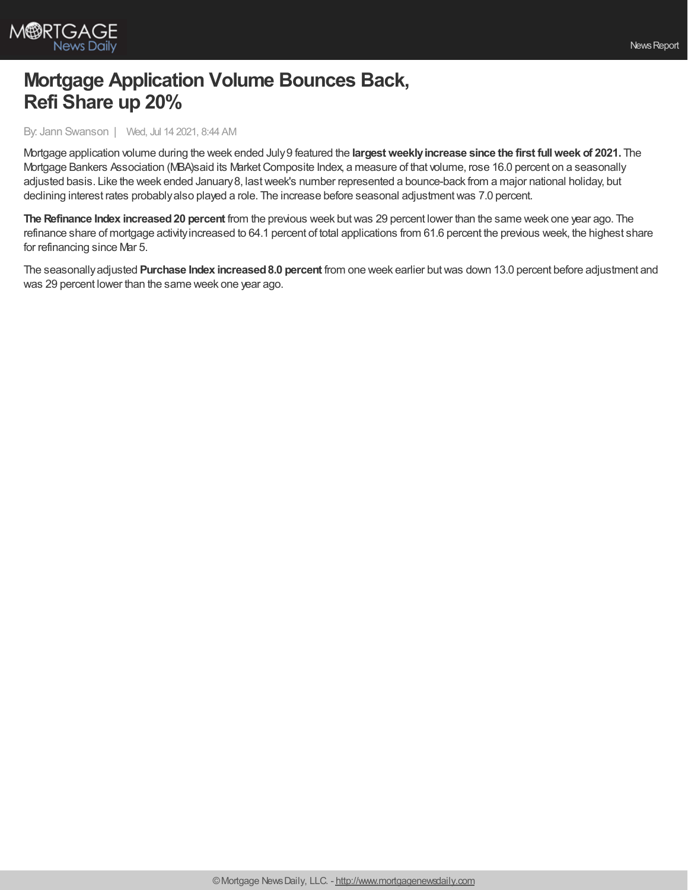

## **Mortgage Application Volume Bounces Back, Refi Share up 20%**

By: Jann Swanson | Wed, Jul 14 2021, 8:44 AM

Mortgage application volume during the week ended July9 featured the **largestweeklyincrease since the first fullweek of 2021.** The Mortgage Bankers Association (MBA)said its Market Composite Index, a measure of that volume, rose 16.0 percent on a seasonally adjusted basis. Like the week ended January 8, last week's number represented a bounce-back from a major national holiday, but declining interest rates probably also played a role. The increase before seasonal adjustment was 7.0 percent.

**The Refinance Index increased20 percent** from the previous week butwas 29 percent lower than the same week one year ago. The refinance share of mortgage activityincreased to 64.1 percent of total applications from 61.6 percent the previous week, the highest share for refinancing since Mar 5.

The seasonallyadjusted **Purchase Index increased8.0 percent** from one week earlier butwas down 13.0 percent before adjustment and was 29 percent lower than the same week one year ago.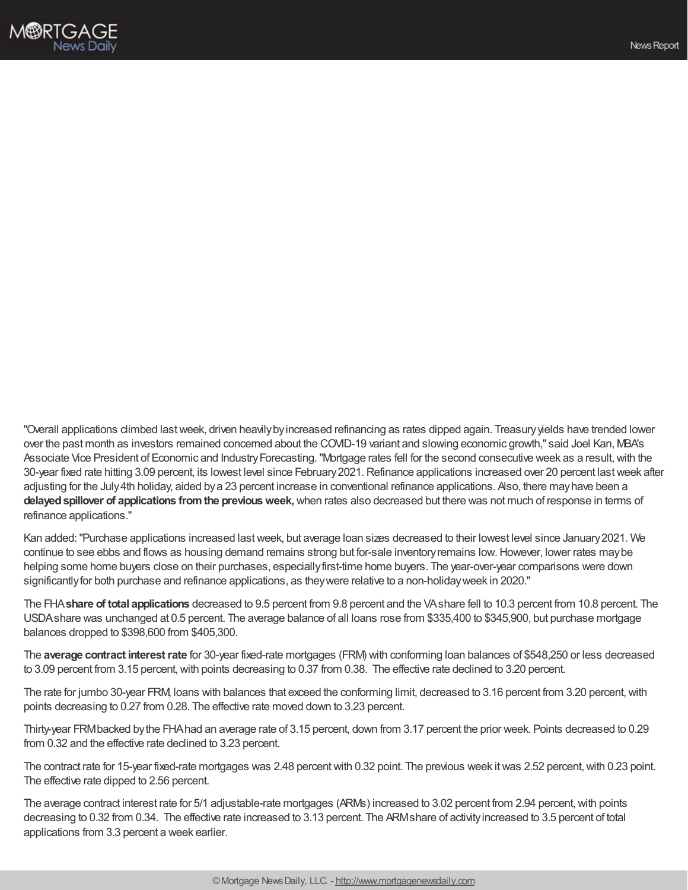

"Overall applications climbed lastweek, driven heavilybyincreased refinancing as rates dipped again. Treasuryyields have trended lower over the past month as investors remained concerned about the COVID-19 variant and slowing economic growth," said Joel Kan, MBA's Associate Vice President of Economic and Industry Forecasting. "Mortgage rates fell for the second consecutive week as a result, with the 30-year fixed rate hitting 3.09 percent, its lowest level since February2021.Refinance applications increased over 20 percent lastweek after adjusting for the July4th holiday, aided bya 23 percent increase in conventional refinance applications. Also, there mayhave been a **delayedspillover of applications fromthe previousweek,**when rates also decreased but there was not much of response in terms of refinance applications."

Kan added:"Purchase applications increased lastweek, but average loan sizes decreased to their lowest level since January2021. We continue to see ebbs and flows as housing demand remains strong but for-sale inventoryremains low.However, lower rates maybe helping some home buyers close on their purchases, especiallyfirst-time home buyers. The year-over-year comparisons were down significantlyfor both purchase and refinance applications, as theywere relative to a non-holidayweek in 2020."

The FHA**share of total applications** decreased to 9.5 percent from 9.8 percent and the VAshare fell to 10.3 percent from 10.8 percent. The USDAshare was unchanged at 0.5 percent. The average balance of all loans rose from \$335,400 to \$345,900, but purchase mortgage balances dropped to \$398,600 from \$405,300.

The **average contract interestrate** for 30-year fixed-rate mortgages (FRM) with conforming loan balances of \$548,250 or less decreased to 3.09 percent from 3.15 percent, with points decreasing to 0.37 from 0.38. The effective rate declined to 3.20 percent.

The rate for jumbo 30-year FRM, loans with balances that exceed the conforming limit, decreased to 3.16 percent from 3.20 percent, with points decreasing to 0.27 from 0.28. The effective rate moved down to 3.23 percent.

Thirty-year FRMbacked bythe FHAhad an average rate of 3.15 percent, down from 3.17 percent the prior week. Points decreased to 0.29 from 0.32 and the effective rate declined to 3.23 percent.

The contract rate for 15-year fixed-rate mortgages was 2.48 percent with 0.32 point. The previous week it was 2.52 percent, with 0.23 point. The effective rate dipped to 2.56 percent.

The average contract interest rate for 5/1 adjustable-rate mortgages (ARMs) increased to 3.02 percent from 2.94 percent,with points decreasing to 0.32 from 0.34. The effective rate increased to 3.13 percent. The ARMshare of activityincreased to 3.5 percent of total applications from 3.3 percent a week earlier.